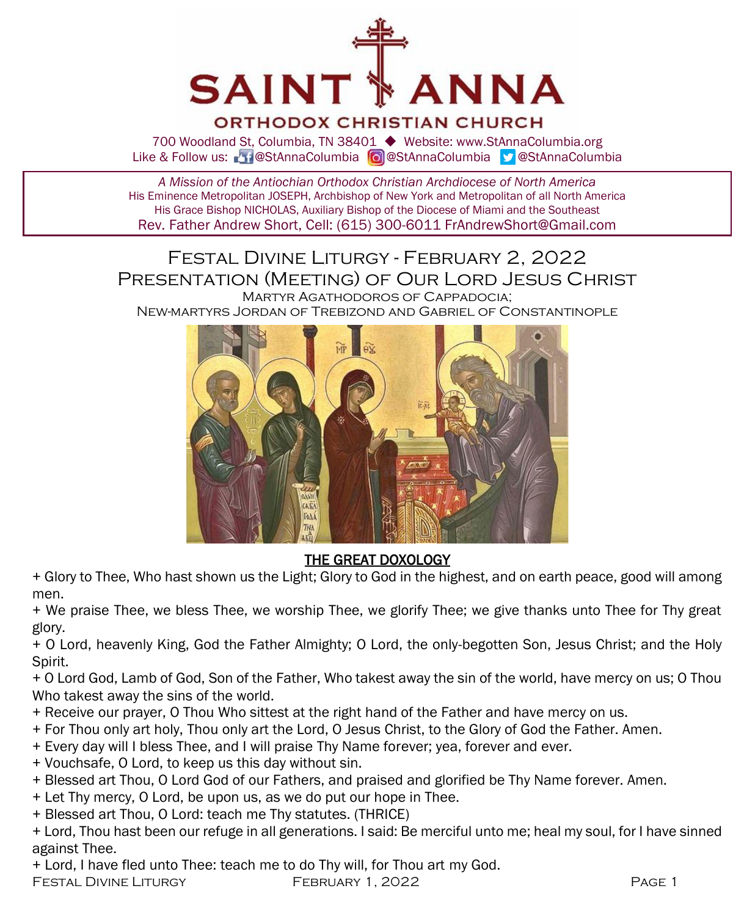

ORTHODOX CHRISTIAN CHURCH

700 Woodland St, Columbia, TN 38401 ◆ Website: www.StAnnaColumbia.org Like & Follow us: 20 @StAnnaColumbia **@**StAnnaColumbia **@StAnnaColumbia** 

*A Mission of the Antiochian Orthodox Christian Archdiocese of North America* His Eminence Metropolitan JOSEPH, Archbishop of New York and Metropolitan of all North America His Grace Bishop NICHOLAS, Auxiliary Bishop of the Diocese of Miami and the Southeast Rev. Father Andrew Short, Cell: (615) 300-6011 FrAndrewShort@Gmail.com

Festal Divine Liturgy - February 2, 2022 Presentation (Meeting) of Our Lord Jesus Christ Martyr Agathodoros of Cappadocia;

New-martyrs Jordan of Trebizond and Gabriel of Constantinople



#### THE GREAT DOXOLOGY

+ Glory to Thee, Who hast shown us the Light; Glory to God in the highest, and on earth peace, good will among men.

+ We praise Thee, we bless Thee, we worship Thee, we glorify Thee; we give thanks unto Thee for Thy great glory.

+ O Lord, heavenly King, God the Father Almighty; O Lord, the only-begotten Son, Jesus Christ; and the Holy Spirit.

+ O Lord God, Lamb of God, Son of the Father, Who takest away the sin of the world, have mercy on us; O Thou Who takest away the sins of the world.

- + Receive our prayer, O Thou Who sittest at the right hand of the Father and have mercy on us.
- + For Thou only art holy, Thou only art the Lord, O Jesus Christ, to the Glory of God the Father. Amen.
- + Every day will I bless Thee, and I will praise Thy Name forever; yea, forever and ever.
- + Vouchsafe, O Lord, to keep us this day without sin.
- + Blessed art Thou, O Lord God of our Fathers, and praised and glorified be Thy Name forever. Amen.
- + Let Thy mercy, O Lord, be upon us, as we do put our hope in Thee.
- + Blessed art Thou, O Lord: teach me Thy statutes. (THRICE)
- + Lord, Thou hast been our refuge in all generations. I said: Be merciful unto me; heal my soul, for I have sinned against Thee.

+ Lord, I have fled unto Thee: teach me to do Thy will, for Thou art my God.

FESTAL DIVINE LITURGY FEBRUARY 1, 2022 **PAGE 1**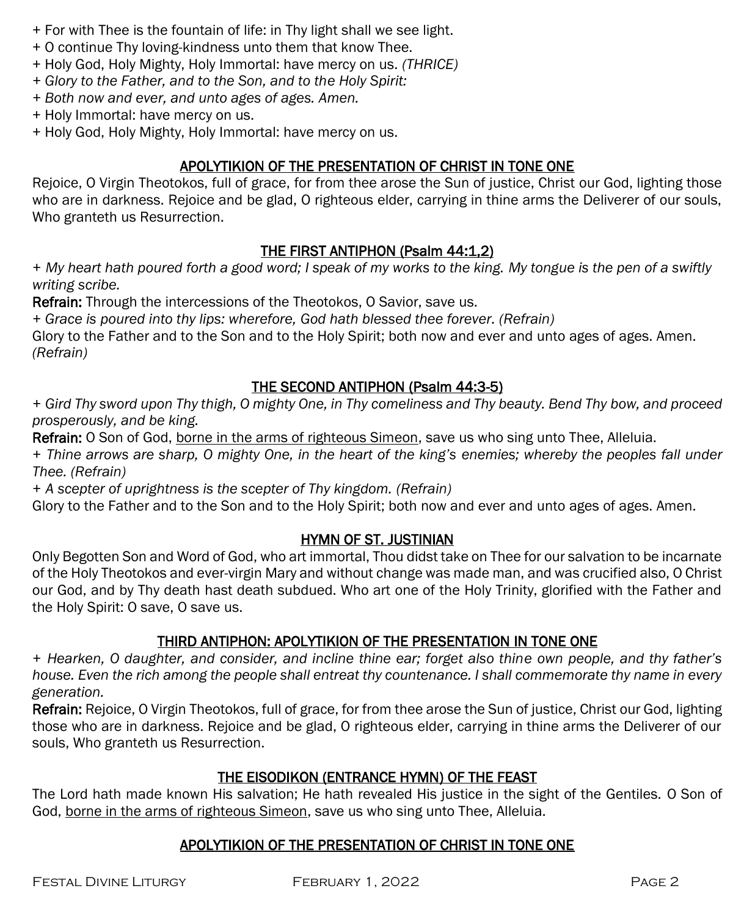- + For with Thee is the fountain of life: in Thy light shall we see light.
- + O continue Thy loving-kindness unto them that know Thee.
- + Holy God, Holy Mighty, Holy Immortal: have mercy on us. *(THRICE)*
- *+ Glory to the Father, and to the Son, and to the Holy Spirit:*
- *+ Both now and ever, and unto ages of ages. Amen.*
- + Holy Immortal: have mercy on us.
- + Holy God, Holy Mighty, Holy Immortal: have mercy on us.

#### APOLYTIKION OF THE PRESENTATION OF CHRIST IN TONE ONE

Rejoice, O Virgin Theotokos, full of grace, for from thee arose the Sun of justice, Christ our God, lighting those who are in darkness. Rejoice and be glad, O righteous elder, carrying in thine arms the Deliverer of our souls, Who granteth us Resurrection.

#### THE FIRST ANTIPHON (Psalm 44:1,2)

*+ My heart hath poured forth a good word; I speak of my works to the king. My tongue is the pen of a swiftly writing scribe.*

Refrain: Through the intercessions of the Theotokos, O Savior, save us.

*+ Grace is poured into thy lips: wherefore, God hath blessed thee forever. (Refrain)*

Glory to the Father and to the Son and to the Holy Spirit; both now and ever and unto ages of ages. Amen. *(Refrain)*

#### THE SECOND ANTIPHON (Psalm 44:3-5)

*+ Gird Thy sword upon Thy thigh, O mighty One, in Thy comeliness and Thy beauty. Bend Thy bow, and proceed prosperously, and be king.*

Refrain: O Son of God, borne in the arms of righteous Simeon, save us who sing unto Thee, Alleluia.

*+ Thine arrows are sharp, O mighty One, in the heart of the king's enemies; whereby the peoples fall under Thee. (Refrain)*

*+ A scepter of uprightness is the scepter of Thy kingdom. (Refrain)*

Glory to the Father and to the Son and to the Holy Spirit; both now and ever and unto ages of ages. Amen.

#### HYMN OF ST. JUSTINIAN

Only Begotten Son and Word of God, who art immortal, Thou didst take on Thee for our salvation to be incarnate of the Holy Theotokos and ever-virgin Mary and without change was made man, and was crucified also, O Christ our God, and by Thy death hast death subdued. Who art one of the Holy Trinity, glorified with the Father and the Holy Spirit: O save, O save us.

#### THIRD ANTIPHON: APOLYTIKION OF THE PRESENTATION IN TONE ONE

*+ Hearken, O daughter, and consider, and incline thine ear; forget also thine own people, and thy father's house. Even the rich among the people shall entreat thy countenance. I shall commemorate thy name in every generation.*

Refrain: Rejoice, O Virgin Theotokos, full of grace, for from thee arose the Sun of justice, Christ our God, lighting those who are in darkness. Rejoice and be glad, O righteous elder, carrying in thine arms the Deliverer of our souls, Who granteth us Resurrection.

#### THE EISODIKON (ENTRANCE HYMN) OF THE FEAST

The Lord hath made known His salvation; He hath revealed His justice in the sight of the Gentiles. O Son of God, borne in the arms of righteous Simeon, save us who sing unto Thee, Alleluia.

#### APOLYTIKION OF THE PRESENTATION OF CHRIST IN TONE ONE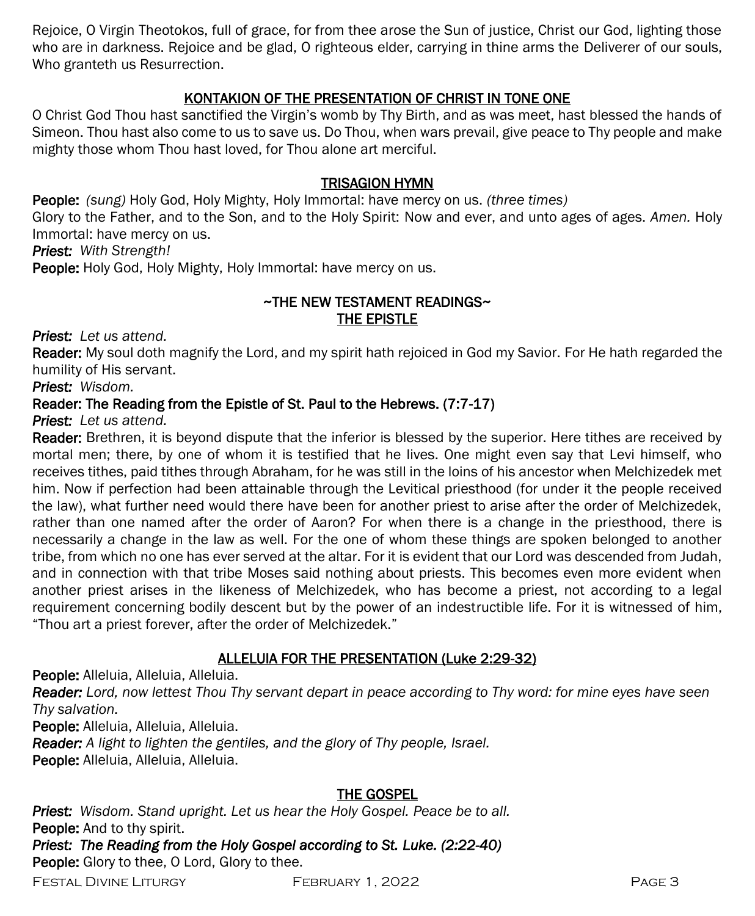Rejoice, O Virgin Theotokos, full of grace, for from thee arose the Sun of justice, Christ our God, lighting those who are in darkness. Rejoice and be glad, O righteous elder, carrying in thine arms the Deliverer of our souls, Who granteth us Resurrection.

#### KONTAKION OF THE PRESENTATION OF CHRIST IN TONE ONE

O Christ God Thou hast sanctified the Virgin's womb by Thy Birth, and as was meet, hast blessed the hands of Simeon. Thou hast also come to us to save us. Do Thou, when wars prevail, give peace to Thy people and make mighty those whom Thou hast loved, for Thou alone art merciful.

#### TRISAGION HYMN

People: *(sung)* Holy God, Holy Mighty, Holy Immortal: have mercy on us. *(three times)*

Glory to the Father, and to the Son, and to the Holy Spirit: Now and ever, and unto ages of ages. *Amen.* Holy Immortal: have mercy on us.

*Priest: With Strength!*

People: Holy God, Holy Mighty, Holy Immortal: have mercy on us.

#### ~THE NEW TESTAMENT READINGS~ THE EPISTLE

*Priest: Let us attend.*

Reader: My soul doth magnify the Lord, and my spirit hath rejoiced in God my Savior. For He hath regarded the humility of His servant.

*Priest: Wisdom.*

#### Reader: The Reading from the Epistle of St. Paul to the Hebrews. (7:7-17)

*Priest: Let us attend.*

Reader: Brethren, it is beyond dispute that the inferior is blessed by the superior. Here tithes are received by mortal men; there, by one of whom it is testified that he lives. One might even say that Levi himself, who receives tithes, paid tithes through Abraham, for he was still in the loins of his ancestor when Melchizedek met him. Now if perfection had been attainable through the Levitical priesthood (for under it the people received the law), what further need would there have been for another priest to arise after the order of Melchizedek, rather than one named after the order of Aaron? For when there is a change in the priesthood, there is necessarily a change in the law as well. For the one of whom these things are spoken belonged to another tribe, from which no one has ever served at the altar. For it is evident that our Lord was descended from Judah, and in connection with that tribe Moses said nothing about priests. This becomes even more evident when another priest arises in the likeness of Melchizedek, who has become a priest, not according to a legal requirement concerning bodily descent but by the power of an indestructible life. For it is witnessed of him, "Thou art a priest forever, after the order of Melchizedek."

#### ALLELUIA FOR THE PRESENTATION (Luke 2:29-32)

People: Alleluia, Alleluia, Alleluia.

*Reader: Lord, now lettest Thou Thy servant depart in peace according to Thy word: for mine eyes have seen Thy salvation.*

People: Alleluia, Alleluia, Alleluia.

*Reader: A light to lighten the gentiles, and the glory of Thy people, Israel.*

People: Alleluia, Alleluia, Alleluia.

#### THE GOSPEL

*Priest: Wisdom. Stand upright. Let us hear the Holy Gospel. Peace be to all.* People: And to thy spirit. *Priest: The Reading from the Holy Gospel according to St. Luke. (2:22-40)*  People: Glory to thee, O Lord, Glory to thee.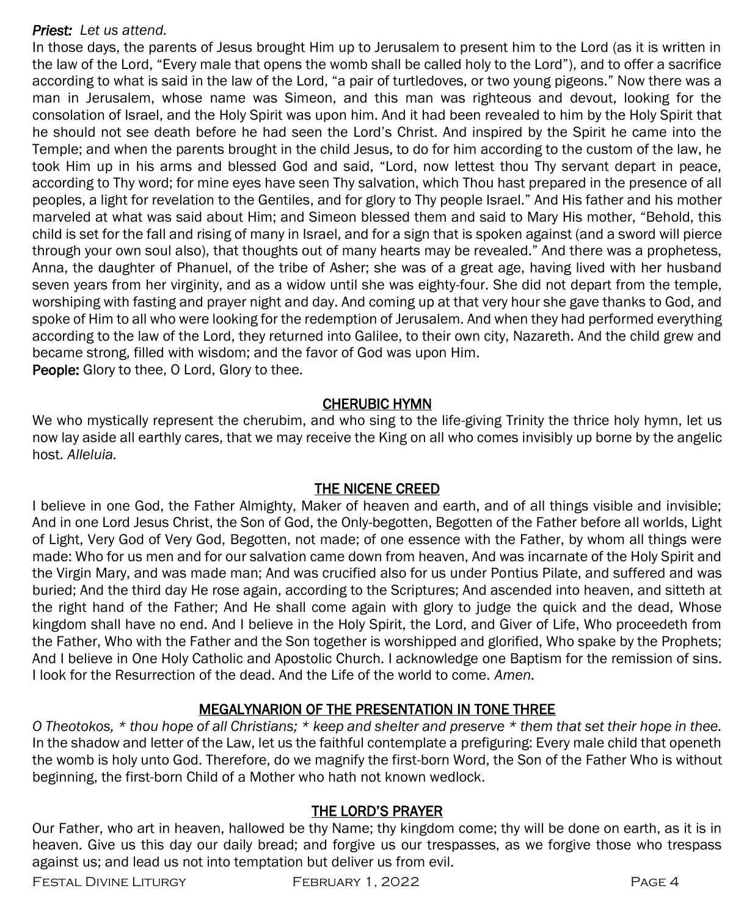#### *Priest: Let us attend.*

In those days, the parents of Jesus brought Him up to Jerusalem to present him to the Lord (as it is written in the law of the Lord, "Every male that opens the womb shall be called holy to the Lord"), and to offer a sacrifice according to what is said in the law of the Lord, "a pair of turtledoves, or two young pigeons." Now there was a man in Jerusalem, whose name was Simeon, and this man was righteous and devout, looking for the consolation of Israel, and the Holy Spirit was upon him. And it had been revealed to him by the Holy Spirit that he should not see death before he had seen the Lord's Christ. And inspired by the Spirit he came into the Temple; and when the parents brought in the child Jesus, to do for him according to the custom of the law, he took Him up in his arms and blessed God and said, "Lord, now lettest thou Thy servant depart in peace, according to Thy word; for mine eyes have seen Thy salvation, which Thou hast prepared in the presence of all peoples, a light for revelation to the Gentiles, and for glory to Thy people Israel." And His father and his mother marveled at what was said about Him; and Simeon blessed them and said to Mary His mother, "Behold, this child is set for the fall and rising of many in Israel, and for a sign that is spoken against (and a sword will pierce through your own soul also), that thoughts out of many hearts may be revealed." And there was a prophetess, Anna, the daughter of Phanuel, of the tribe of Asher; she was of a great age, having lived with her husband seven years from her virginity, and as a widow until she was eighty-four. She did not depart from the temple, worshiping with fasting and prayer night and day. And coming up at that very hour she gave thanks to God, and spoke of Him to all who were looking for the redemption of Jerusalem. And when they had performed everything according to the law of the Lord, they returned into Galilee, to their own city, Nazareth. And the child grew and became strong, filled with wisdom; and the favor of God was upon Him. **People:** Glory to thee, O Lord, Glory to thee.

#### CHERUBIC HYMN

We who mystically represent the cherubim, and who sing to the life-giving Trinity the thrice holy hymn, let us now lay aside all earthly cares, that we may receive the King on all who comes invisibly up borne by the angelic host. *Alleluia.*

#### THE NICENE CREED

I believe in one God, the Father Almighty, Maker of heaven and earth, and of all things visible and invisible; And in one Lord Jesus Christ, the Son of God, the Only-begotten, Begotten of the Father before all worlds, Light of Light, Very God of Very God, Begotten, not made; of one essence with the Father, by whom all things were made: Who for us men and for our salvation came down from heaven, And was incarnate of the Holy Spirit and the Virgin Mary, and was made man; And was crucified also for us under Pontius Pilate, and suffered and was buried; And the third day He rose again, according to the Scriptures; And ascended into heaven, and sitteth at the right hand of the Father; And He shall come again with glory to judge the quick and the dead, Whose kingdom shall have no end. And I believe in the Holy Spirit, the Lord, and Giver of Life, Who proceedeth from the Father, Who with the Father and the Son together is worshipped and glorified, Who spake by the Prophets; And I believe in One Holy Catholic and Apostolic Church. I acknowledge one Baptism for the remission of sins. I look for the Resurrection of the dead. And the Life of the world to come. *Amen.*

#### MEGALYNARION OF THE PRESENTATION IN TONE THREE

*O Theotokos, \* thou hope of all Christians; \* keep and shelter and preserve \* them that set their hope in thee.* In the shadow and letter of the Law, let us the faithful contemplate a prefiguring: Every male child that openeth the womb is holy unto God. Therefore, do we magnify the first-born Word, the Son of the Father Who is without beginning, the first-born Child of a Mother who hath not known wedlock.

#### THE LORD'S PRAYER

Our Father, who art in heaven, hallowed be thy Name; thy kingdom come; thy will be done on earth, as it is in heaven. Give us this day our daily bread; and forgive us our trespasses, as we forgive those who trespass against us; and lead us not into temptation but deliver us from evil.

Festal Divine Liturgy February 1, 2022 Page 4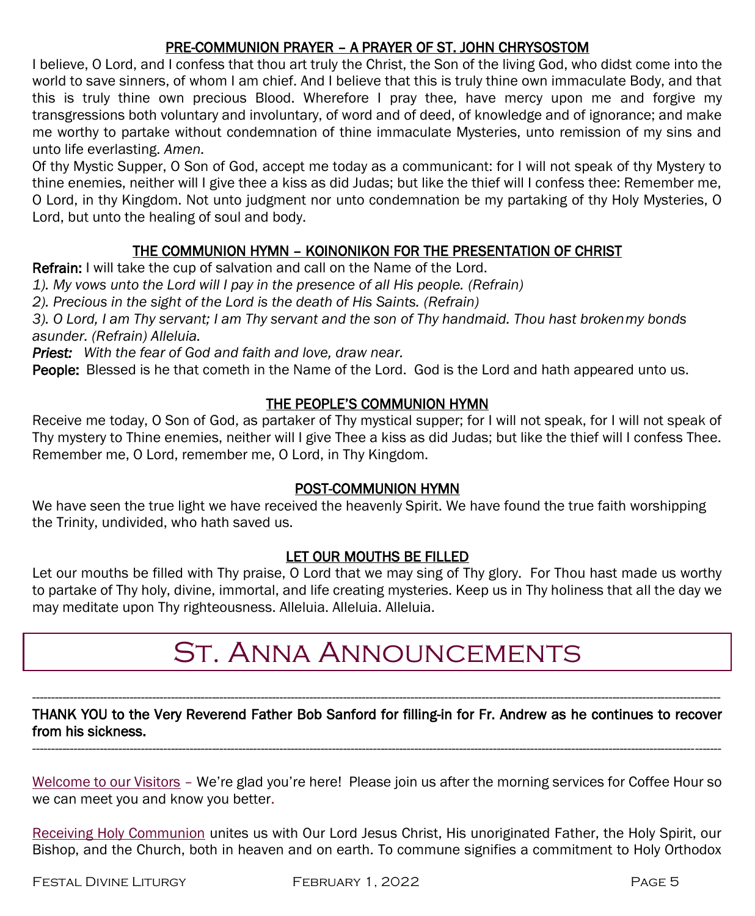#### PRE-COMMUNION PRAYER – A PRAYER OF ST. JOHN CHRYSOSTOM

I believe, O Lord, and I confess that thou art truly the Christ, the Son of the living God, who didst come into the world to save sinners, of whom I am chief. And I believe that this is truly thine own immaculate Body, and that this is truly thine own precious Blood. Wherefore I pray thee, have mercy upon me and forgive my transgressions both voluntary and involuntary, of word and of deed, of knowledge and of ignorance; and make me worthy to partake without condemnation of thine immaculate Mysteries, unto remission of my sins and unto life everlasting. *Amen.*

Of thy Mystic Supper, O Son of God, accept me today as a communicant: for I will not speak of thy Mystery to thine enemies, neither will I give thee a kiss as did Judas; but like the thief will I confess thee: Remember me, O Lord, in thy Kingdom. Not unto judgment nor unto condemnation be my partaking of thy Holy Mysteries, O Lord, but unto the healing of soul and body.

#### THE COMMUNION HYMN – KOINONIKON FOR THE PRESENTATION OF CHRIST

Refrain: I will take the cup of salvation and call on the Name of the Lord.

*1). My vows unto the Lord will I pay in the presence of all His people. (Refrain)*

*2). Precious in the sight of the Lord is the death of His Saints. (Refrain)*

*3). O Lord, I am Thy servant; I am Thy servant and the son of Thy handmaid. Thou hast brokenmy bonds asunder. (Refrain) Alleluia.* 

*Priest: With the fear of God and faith and love, draw near.*

People: Blessed is he that cometh in the Name of the Lord. God is the Lord and hath appeared unto us.

#### THE PEOPLE'S COMMUNION HYMN

Receive me today, O Son of God, as partaker of Thy mystical supper; for I will not speak, for I will not speak of Thy mystery to Thine enemies, neither will I give Thee a kiss as did Judas; but like the thief will I confess Thee. Remember me, O Lord, remember me, O Lord, in Thy Kingdom.

#### POST-COMMUNION HYMN

We have seen the true light we have received the heavenly Spirit. We have found the true faith worshipping the Trinity, undivided, who hath saved us.

#### LET OUR MOUTHS BE FILLED

Let our mouths be filled with Thy praise, O Lord that we may sing of Thy glory. For Thou hast made us worthy to partake of Thy holy, divine, immortal, and life creating mysteries. Keep us in Thy holiness that all the day we may meditate upon Thy righteousness. Alleluia. Alleluia. Alleluia.

## St. Anna Announcements

#### ---------------------------------------------------------------------------------------------------------------------------------------------------------------------------------------- THANK YOU to the Very Reverend Father Bob Sanford for filling-in for Fr. Andrew as he continues to recover from his sickness. ----------------------------------------------------------------------------------------------------------------------------------------------------------------------------------------

Welcome to our Visitors – We're glad you're here! Please join us after the morning services for Coffee Hour so we can meet you and know you better.

Receiving Holy Communion unites us with Our Lord Jesus Christ, His unoriginated Father, the Holy Spirit, our Bishop, and the Church, both in heaven and on earth. To commune signifies a commitment to Holy Orthodox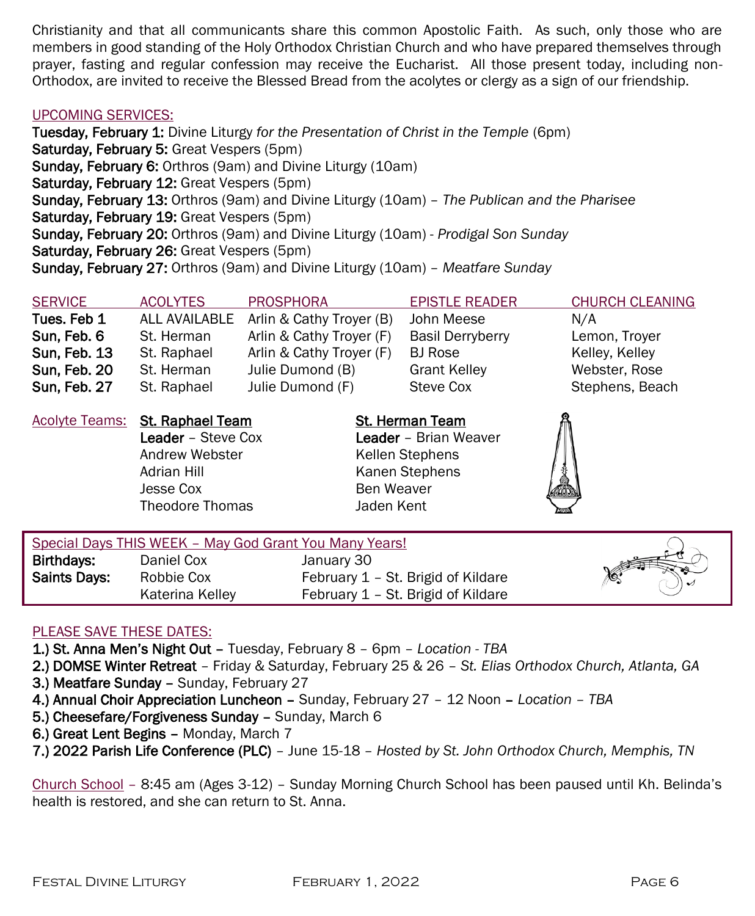Christianity and that all communicants share this common Apostolic Faith. As such, only those who are members in good standing of the Holy Orthodox Christian Church and who have prepared themselves through prayer, fasting and regular confession may receive the Eucharist. All those present today, including non-Orthodox, are invited to receive the Blessed Bread from the acolytes or clergy as a sign of our friendship.

#### UPCOMING SERVICES:

Tuesday, February 1: Divine Liturgy *for the Presentation of Christ in the Temple* (6pm) Saturday, February 5: Great Vespers (5pm) Sunday, February 6: Orthros (9am) and Divine Liturgy (10am) Saturday, February 12: Great Vespers (5pm) Sunday, February 13: Orthros (9am) and Divine Liturgy (10am) – *The Publican and the Pharisee* Saturday, February 19: Great Vespers (5pm) Sunday, February 20: Orthros (9am) and Divine Liturgy (10am) - *Prodigal Son Sunday* Saturday, February 26: Great Vespers (5pm) Sunday, February 27: Orthros (9am) and Divine Liturgy (10am) – *Meatfare Sunday*

| <b>SERVICE</b>      | <b>ACOLYTES</b>                                                         | <b>PROSPHORA</b>         |                                                                                                    | <b>EPISTLE READER</b>   | <b>CHURCH CLEANING</b> |
|---------------------|-------------------------------------------------------------------------|--------------------------|----------------------------------------------------------------------------------------------------|-------------------------|------------------------|
| Tues. Feb 1         | ALL AVAILABLE                                                           | Arlin & Cathy Troyer (B) |                                                                                                    | John Meese              | N/A                    |
| Sun, Feb. 6         | St. Herman                                                              | Arlin & Cathy Troyer (F) |                                                                                                    | <b>Basil Derryberry</b> | Lemon, Troyer          |
| <b>Sun, Feb. 13</b> | St. Raphael                                                             | Arlin & Cathy Troyer (F) |                                                                                                    | BJ Rose                 | Kelley, Kelley         |
| Sun, Feb. 20        | St. Herman                                                              | Julie Dumond (B)         |                                                                                                    | <b>Grant Kelley</b>     | Webster, Rose          |
| Sun, Feb. 27        | St. Raphael                                                             | Julie Dumond (F)         |                                                                                                    | Steve Cox               | Stephens, Beach        |
| Acolyte Teams:      | <b>St. Raphael Team</b>                                                 |                          | St. Herman Team<br><b>Leader</b> - Brian Weaver<br>Kellen Stephens<br>Kanen Stephens<br>Ben Weaver |                         |                        |
|                     | <b>Leader</b> – Steve Cox<br>Andrew Webster<br>Adrian Hill<br>Jesse Cox |                          |                                                                                                    |                         |                        |
|                     |                                                                         |                          |                                                                                                    |                         |                        |
|                     |                                                                         |                          |                                                                                                    |                         |                        |
|                     |                                                                         |                          |                                                                                                    |                         |                        |
|                     |                                                                         |                          |                                                                                                    |                         |                        |

| Special Days THIS WEEK - May God Grant You Many Years! |                 |                                    |  |
|--------------------------------------------------------|-----------------|------------------------------------|--|
| Birthdays:                                             | Daniel Cox      | January 30                         |  |
| Saints Days:                                           | Robbie Cox      | February 1 - St. Brigid of Kildare |  |
|                                                        | Katerina Kellev | February 1 – St. Brigid of Kildare |  |

#### PLEASE SAVE THESE DATES:

- 1.) St. Anna Men's Night Out Tuesday, February 8 6pm *Location - TBA*
- 2.) DOMSE Winter Retreat Friday & Saturday, February 25 & 26 *St. Elias Orthodox Church, Atlanta, GA*
- 3.) Meatfare Sunday Sunday, February 27
- 4.) Annual Choir Appreciation Luncheon Sunday, February 27 12 Noon *Location – TBA*
- 5.) Cheesefare/Forgiveness Sunday Sunday, March 6
- 6.) Great Lent Begins Monday, March 7
- 7.) 2022 Parish Life Conference (PLC) June 15-18 *Hosted by St. John Orthodox Church, Memphis, TN*

Church School – 8:45 am (Ages 3-12) – Sunday Morning Church School has been paused until Kh. Belinda's health is restored, and she can return to St. Anna.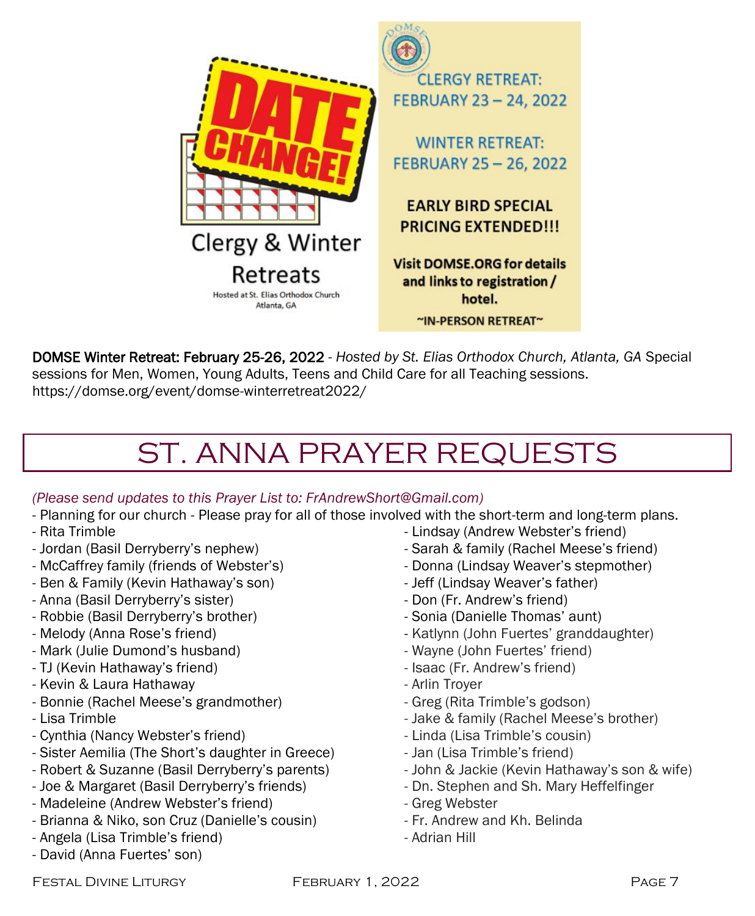

DOMSE Winter Retreat: February 25-26, 2022 - *Hosted by St. Elias Orthodox Church, Atlanta, GA* Special sessions for Men, Women, Young Adults, Teens and Child Care for all Teaching sessions. https://domse.org/event/domse-winterretreat2022/

# ST. ANNA PRAYER REQUESTS

#### *(Please send updates to this Prayer List to: FrAndrewShort@Gmail.com)*

- Planning for our church Please pray for all of those involved with the short-term and long-term plans.
- Rita Trimble
- Jordan (Basil Derryberry's nephew)
- McCaffrey family (friends of Webster's)
- Ben & Family (Kevin Hathaway's son)
- Anna (Basil Derryberry's sister)
- Robbie (Basil Derryberry's brother)
- Melody (Anna Rose's friend)
- Mark (Julie Dumond's husband)
- TJ (Kevin Hathaway's friend)
- Kevin & Laura Hathaway
- Bonnie (Rachel Meese's grandmother)
- Lisa Trimble
- Cynthia (Nancy Webster's friend)
- Sister Aemilia (The Short's daughter in Greece)
- Robert & Suzanne (Basil Derryberry's parents)
- Joe & Margaret (Basil Derryberry's friends)
- Madeleine (Andrew Webster's friend)
- Brianna & Niko, son Cruz (Danielle's cousin)
- Angela (Lisa Trimble's friend)
- David (Anna Fuertes' son)
- Lindsay (Andrew Webster's friend)
- Sarah & family (Rachel Meese's friend)
- Donna (Lindsay Weaver's stepmother)
- Jeff (Lindsay Weaver's father)
- Don (Fr. Andrew's friend)
- Sonia (Danielle Thomas' aunt)
- Katlynn (John Fuertes' granddaughter)
- Wayne (John Fuertes' friend)
- Isaac (Fr. Andrew's friend)
- Arlin Troyer
- Greg (Rita Trimble's godson)
- Jake & family (Rachel Meese's brother)
- Linda (Lisa Trimble's cousin)
- Jan (Lisa Trimble's friend)
- John & Jackie (Kevin Hathaway's son & wife)
- Dn. Stephen and Sh. Mary Heffelfinger
- Greg Webster
- Fr. Andrew and Kh. Belinda
- Adrian Hill